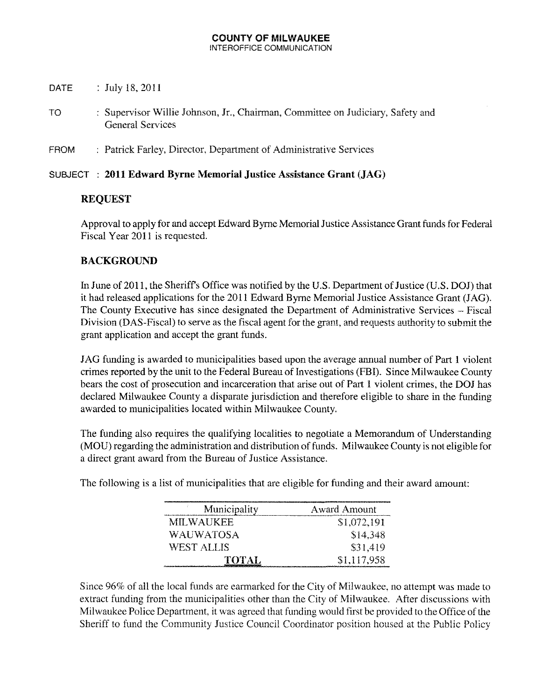#### **COUNTY OF MILWAUKEE** INTEROFFICE COMMUNICATION

- DATE : July 18, 2011
- TO : Supervisor Willie Johnson, Jr., Chairman, Committee on Judiciary, Safety and General Services
- FROM : Patrick Farley, Director, Department of Administrative Services

#### SUBJECT **2011 Edward Byrne Memorial Justice Assistance Grant (JAG)**

# **REQUEST**

Approval to apply for and accept Edward Byrne Memorial Justice Assistance Grant funds for Federal Fiscal Year 2011 is requested.

# **BACKGROUND**

In June of 2011, the Sheriff's Office was notified by the U.S. Department of Justice (U.S. DOJ) that it had released applications for the 2011 Edward Byrne Memorial Justice Assistance Grant (JAG). The County Executive has since designated the Department of Administrative Services - Fiscal Division (DAS-Fiscal) to serve as the fiscal agent for the grant, and requests authority to submit the grant application and accept the grant funds.

JAG funding is awarded to municipalities based upon the average armual number of Part I violent crimes reported by the unit to the Federal Bureau of Investigations (FBI). Since Milwaukee County bears the cost of prosecution and incarceration that arise out of Part I violent crimes, the DOJ has declared Milwaukee County a disparate jurisdiction and therefore eligible to share in the funding awarded to municipalities located within Milwaukee County.

The funding also requires the qualifying localities to negotiate a Memorandum of Understanding (MOU) regarding the administration and distribution of funds. Milwaukee County is not eligible for a direct grant award from the Bureau of Justice Assistance.

The following is a list of municipalities that are eligible for funding and their award amount:

| Municipality | <b>Award Amount</b>                                                                                                                |
|--------------|------------------------------------------------------------------------------------------------------------------------------------|
| MILWAUKEE    | \$1,072,191                                                                                                                        |
| WAUWATOSA    | \$14,348                                                                                                                           |
| WEST ALLIS   | \$31,419                                                                                                                           |
| TOTAL        | \$1,117,958<br><b>En seriestin in Antiquite et an antique in antique substitute in antiques de la provincia de la constitution</b> |

Since 96% of all the local funds are earmarked for the City of Milwaukee, no attempt was made to extract funding from the municipalities other than the City of Milwaukee. After discussions with Milwaukee Police Department, it was agreed that funding would first be provided to the Office of the Sheriff to fund the Community Justice Council Coordinator position housed at the Public Policy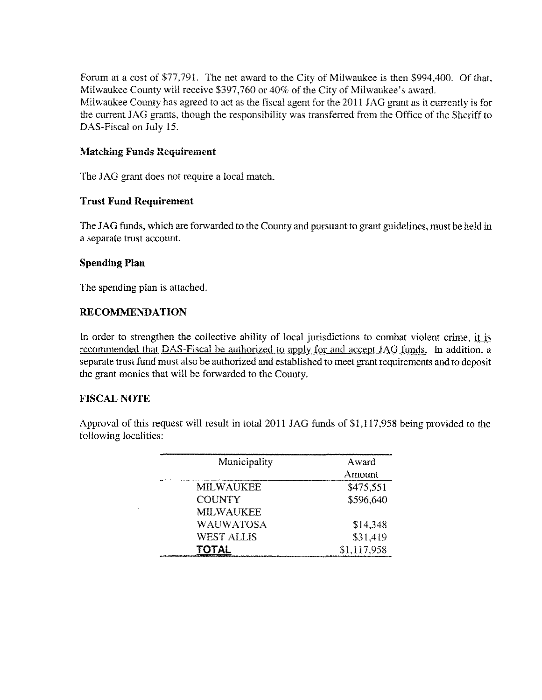Forum at a cost of \$77,791. The net award to the City of Milwaukee is then \$994,400. Of that, Milwaukee County will receive \$397,760 or 40% of the City of Milwaukee's award. Milwaukee County has agreed to act as the fiscal agent for the 2011 JAG grant as it currently is for the current JAG grants, though the responsibility was transferred from the Office of the Sheriff to DAS-Fiscal on July 15.

# **Matching Funds Requirement**

The JAG grant does not require a local match.

# **Trust Fund Requirement**

The JAG funds, which are forwarded to the County and pursuant to grant guidelines, must be held in a separate trust account.

# **Spending Plan**

The spending plan is attached.

# **RECOMMENDATION**

In order to strengthen the collective ability of local jurisdictions to combat violent crime, it is recommended that DAS-Fiscal be authorized to apply for and accept JAG funds. In addition, a separate trust fund must also be authorized and established to meet grant requirements and to deposit the grant monies that will be forwarded to the County.

#### FISCAL NOTE

Approval of this request will result in total 2011 JAG funds of \$1,117,958 being provided to the following localities:

| Municipality     | Award       |
|------------------|-------------|
|                  | Amount      |
| MILWAUKEE        | \$475,551   |
| <b>COUNTY</b>    | \$596,640   |
| <b>MILWAUKEE</b> |             |
| WAUWATOSA        | \$14,348    |
| WEST ALLIS       | \$31,419    |
| TOTAL            | \$1,117.958 |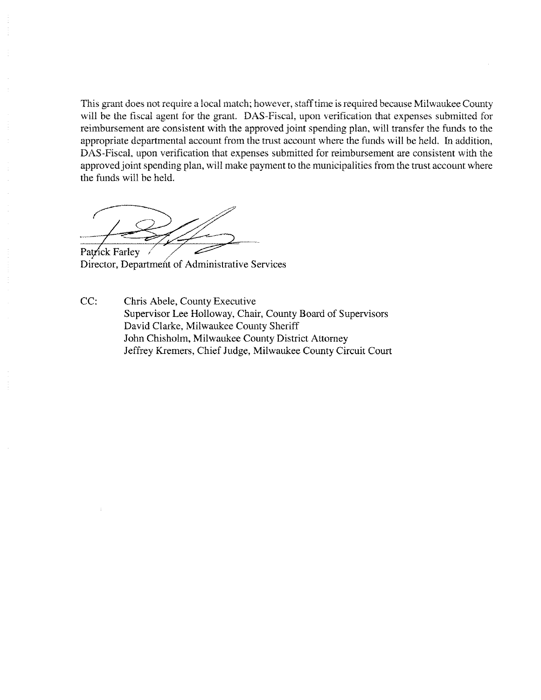This grant does not require a local match; however, staff time is required because Milwaukee County will be the fiscal agent for the grant. DAS-Fiscal, upon verification that expenses submitted for reimbursement are consistent with the approved joint spending plan, will transfer the funds to the appropriate departmental account from the trust account where the funds will be held. In addition, DAx-Fiscal, upon verification that expenses submitted for reimbursement are consistent with the approved joint spending plan, will make payment to the municipalities from the trust account where the funds will be held.

Patrick Farley

Director, Department of Administrative Services

CC: Chris Abele, County Executive Supervisor Lee Holloway, Chair, County Board of Supervisors David Clarke, Milwaukee County Sheriff John Chisholm, Milwaukee County District Attorney Jeffrey Kremers, Chief Judge, Milwaukee County Circuit Court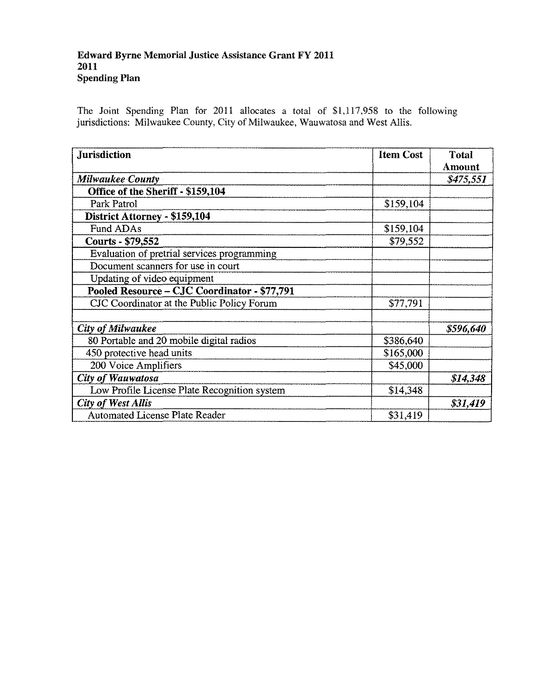#### Edward Byrne Memorial Justice Assistance Grant FY 2011 2011 Spending Plan

The Joint Spending Plan for 2011 allocates a total of \$1,117,958 to the following jurisdictions: Milwaukee County, City of Milwaukee, Wauwatosa and West Allis,

| <b>Jurisdiction</b>                          | <b>Item Cost</b> | <b>Total</b> |
|----------------------------------------------|------------------|--------------|
|                                              |                  | Amount       |
| <b>Milwaukee County</b>                      |                  | \$475,551    |
| Office of the Sheriff - \$159,104            |                  |              |
| Park Patrol                                  | \$159,104        |              |
| District Attorney - \$159,104                |                  |              |
| Fund ADAs                                    | \$159,104        |              |
| Courts - \$79,552                            | \$79,552         |              |
| Evaluation of pretrial services programming  |                  |              |
| Document scanners for use in court           |                  |              |
| Updating of video equipment                  |                  |              |
| Pooled Resource - CJC Coordinator - \$77,791 |                  |              |
| CJC Coordinator at the Public Policy Forum   | \$77,791         |              |
|                                              |                  |              |
| <b>City of Milwaukee</b>                     |                  | \$596,640    |
| 80 Portable and 20 mobile digital radios     | \$386,640        |              |
| 450 protective head units                    | \$165,000        |              |
| 200 Voice Amplifiers                         | \$45,000         |              |
| <b>City of Wauwatosa</b>                     |                  | \$14,348     |
| Low Profile License Plate Recognition system | \$14,348         |              |
| <b>City of West Allis</b>                    |                  | \$31,419     |
| <b>Automated License Plate Reader</b>        | \$31,419         |              |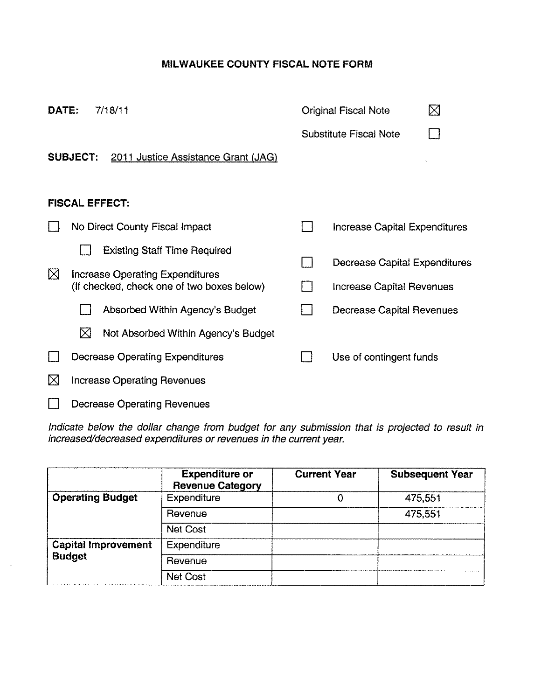# **MILWAUKEE COUNTY FISCAL NOTE FORM**

| DATE:       | 7/18/11                                                                              | <b>Original Fiscal Note</b>      | ⊠ |
|-------------|--------------------------------------------------------------------------------------|----------------------------------|---|
|             |                                                                                      | <b>Substitute Fiscal Note</b>    |   |
|             | <b>SUBJECT:</b><br>2011 Justice Assistance Grant (JAG)                               |                                  |   |
|             |                                                                                      |                                  |   |
|             | <b>FISCAL EFFECT:</b>                                                                |                                  |   |
|             | No Direct County Fiscal Impact                                                       | Increase Capital Expenditures    |   |
|             | <b>Existing Staff Time Required</b>                                                  | Decrease Capital Expenditures    |   |
| ⊠           | <b>Increase Operating Expenditures</b><br>(If checked, check one of two boxes below) |                                  |   |
|             |                                                                                      | <b>Increase Capital Revenues</b> |   |
|             | Absorbed Within Agency's Budget                                                      | Decrease Capital Revenues        |   |
|             | ⊠<br>Not Absorbed Within Agency's Budget                                             |                                  |   |
|             | <b>Decrease Operating Expenditures</b>                                               | Use of contingent funds          |   |
| $\boxtimes$ | <b>Increase Operating Revenues</b>                                                   |                                  |   |
|             | <b>Decrease Operating Revenues</b>                                                   |                                  |   |

Indicate below the dollar change from budget for any submission that is projected to result in increased/decreased expenditures or revenues in the current year.

|                            | <b>Expenditure or</b><br><b>Revenue Category</b> | <b>Current Year</b> | <b>Subsequent Year</b> |
|----------------------------|--------------------------------------------------|---------------------|------------------------|
| <b>Operating Budget</b>    | <b>Expenditure</b>                               |                     | 475,551                |
|                            | Revenue                                          |                     | 475,551                |
|                            | <b>Net Cost</b>                                  |                     |                        |
| <b>Capital Improvement</b> | <b>Expenditure</b>                               |                     |                        |
| <b>Budget</b>              | Revenue                                          |                     |                        |
|                            | Net Cost                                         |                     |                        |

 $\sigma$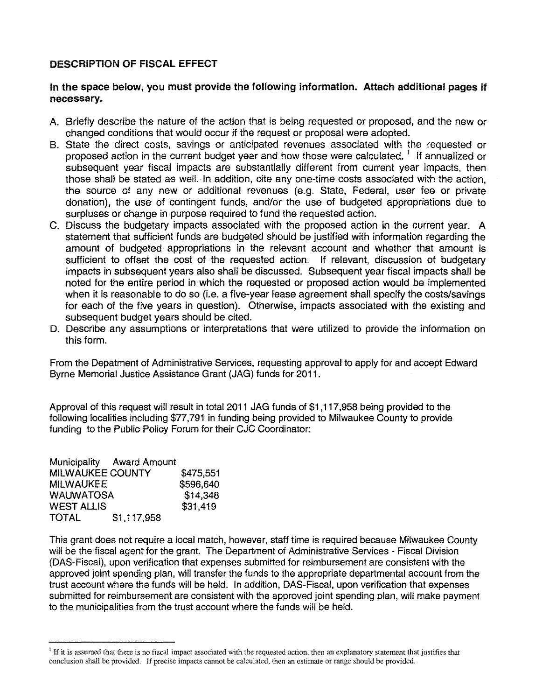#### DESCRIPTION OF FISCAL EFFECT

#### In the space below, you must provide the following information. Attach additional pages if necessary.

- A. Briefly describe the nature of the action that is being requested or proposed, and the new or changed conditions that would occur if the request or proposal were adopted.
- B. State the direct costs, savings or anticipated revenues associated with the requested or proposed action in the current budget year and how those were calculated.<sup>1</sup> If annualized or subsequent year fiscal impacts are substantially different from current year impacts, then those shall be stated as well. In addition, cite anyone-time costs associated with the action, the source of any new or additional revenues (e.g. State, Federal, user fee or private donation), the use of contingent funds, and/or the use of budgeted appropriations due to surpluses or change in purpose required to fund the requested action.
- C. Discuss the budgetary impacts associated with the proposed action in the current year. A statement that sufficient funds are budgeted should be justified with information regarding the amount of budgeted appropriations in the relevant account and whether that amount is sufficient to offset the cost of the requested action. If relevant, discussion of budgetary impacts in subsequent years also shall be discussed. Subsequent year fiscal impacts shall be noted for the entire period in which the requested or proposed action would be implemented when it is reasonable to do so (i.e. a five-year lease agreement shall specify the costs/savings for each of the five years in question). Otherwise, impacts associated with the existing and subsequent budget years should be cited.
- D. Describe any assumptions or interpretations that were utilized to provide the information on this form.

From the Depatment of Administrative Services, requesting approval to apply for and accept Edward Byrne Memorial Justice Assistance Grant (JAG) funds for 2011.

Approval of this request will result in total 2011 JAG funds of \$1,117,958 being provided to the following localities including \$77,791 in funding being provided to Milwaukee County to provide funding to the Public Policy Forum for their CJC Coordinator:

|                         | Municipality Award Amount |           |
|-------------------------|---------------------------|-----------|
| <b>MILWAUKEE COUNTY</b> |                           | \$475,551 |
| <b>MILWAUKEE</b>        |                           | \$596,640 |
| <b>WAUWATOSA</b>        |                           | \$14,348  |
| <b>WEST ALLIS</b>       |                           | \$31,419  |
| <b>TOTAL</b>            | \$1,117,958               |           |

This grant does not require a local match, however, staff time is required because MilwaukeeCounty will be the fiscal agent for the grant. The Department of Administrative Services - Fiscal Division (DAS-Fiscal), upon verification that expenses submitted for reimbursement are consistent with the approved joint spending plan, will transfer the funds to the appropriate departmental account from the trust account where the funds will be held. In addition, DAS-Fiscal, upon verificationthat expenses submitted for reimbursement are consistent with the approved joint spending plan, will make payment to the municipalities from the trust account where the funds will be held.

<sup>&</sup>lt;sup>1</sup> If it is assumed that there is no fiscal impact associated with the requested action, then an explanatory statement that justifies that conclusion shall be provided. If precise impacts cannot be calculated, then an estimate or range should be provided.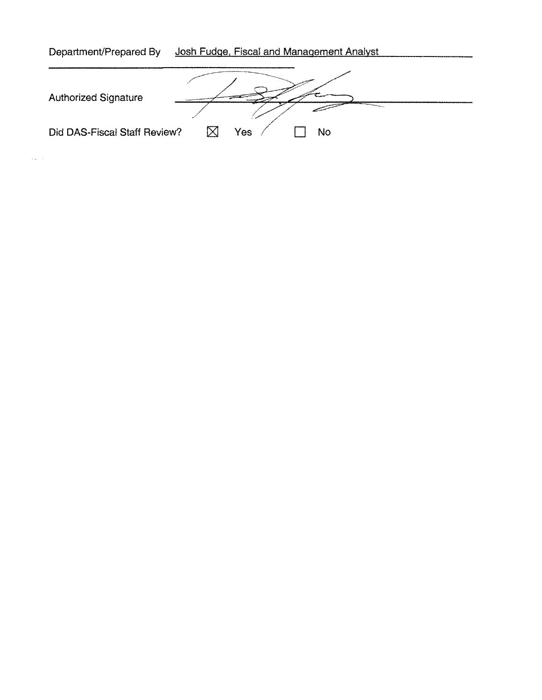| Department/Prepared By       | Josh Fudge, Fiscal and Management Analyst |
|------------------------------|-------------------------------------------|
| <b>Authorized Signature</b>  |                                           |
| Did DAS-Fiscal Staff Review? | Yes<br><b>No</b>                          |

 $\label{eq:2} \mathcal{L}_{\mathbf{X}}(\mathbf{X}) = \mathcal{L}_{\mathbf{X}}(\mathbf{X})$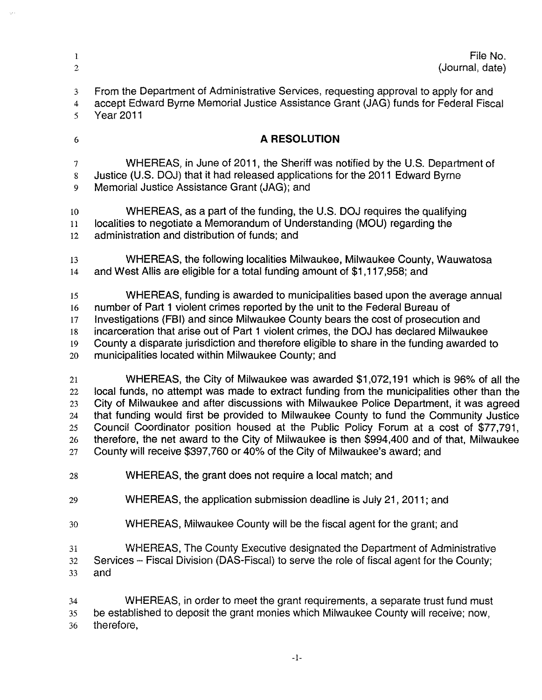| Î.                       | File No.                                                                                   |
|--------------------------|--------------------------------------------------------------------------------------------|
| $\overline{2}$           | (Journal, date)                                                                            |
| 3                        | From the Department of Administrative Services, requesting approval to apply for and       |
| 4                        | accept Edward Byrne Memorial Justice Assistance Grant (JAG) funds for Federal Fiscal       |
| 5                        | <b>Year 2011</b>                                                                           |
| 6                        | A RESOLUTION                                                                               |
| $\overline{\mathcal{I}}$ | WHEREAS, in June of 2011, the Sheriff was notified by the U.S. Department of               |
| 8                        | Justice (U.S. DOJ) that it had released applications for the 2011 Edward Byrne             |
| 9                        | Memorial Justice Assistance Grant (JAG); and                                               |
| 10                       | WHEREAS, as a part of the funding, the U.S. DOJ requires the qualifying                    |
| 11                       | localities to negotiate a Memorandum of Understanding (MOU) regarding the                  |
| $12\,$                   | administration and distribution of funds; and                                              |
| 13                       | WHEREAS, the following localities Milwaukee, Milwaukee County, Wauwatosa                   |
| 14                       | and West Allis are eligible for a total funding amount of \$1,117,958; and                 |
| 15                       | WHEREAS, funding is awarded to municipalities based upon the average annual                |
| 16                       | number of Part 1 violent crimes reported by the unit to the Federal Bureau of              |
| 17                       | Investigations (FBI) and since Milwaukee County bears the cost of prosecution and          |
| 18                       | incarceration that arise out of Part 1 violent crimes, the DOJ has declared Milwaukee      |
| 19                       | County a disparate jurisdiction and therefore eligible to share in the funding awarded to  |
| 20                       | municipalities located within Milwaukee County; and                                        |
| 21                       | WHEREAS, the City of Milwaukee was awarded \$1,072,191 which is 96% of all the             |
| 22                       | local funds, no attempt was made to extract funding from the municipalities other than the |
| 23                       | City of Milwaukee and after discussions with Milwaukee Police Department, it was agreed    |
| 24                       | that funding would first be provided to Milwaukee County to fund the Community Justice     |
| 25                       | Council Coordinator position housed at the Public Policy Forum at a cost of \$77,791.      |
| 26                       | therefore, the net award to the City of Milwaukee is then \$994,400 and of that, Milwaukee |
| 27                       | County will receive \$397,760 or 40% of the City of Milwaukee's award; and                 |
| 28                       | WHEREAS, the grant does not require a local match; and                                     |
| 29                       | WHEREAS, the application submission deadline is July 21, 2011; and                         |
| 30                       | WHEREAS, Milwaukee County will be the fiscal agent for the grant; and                      |
| 31                       | WHEREAS, The County Executive designated the Department of Administrative                  |
| 32                       | Services – Fiscal Division (DAS-Fiscal) to serve the role of fiscal agent for the County;  |
| 33                       | and                                                                                        |
| 34                       | WHEREAS, in order to meet the grant requirements, a separate trust fund must               |
| 35                       | be established to deposit the grant monies which Milwaukee County will receive; now,       |
| 36                       | therefore,                                                                                 |
|                          | $-1-$                                                                                      |
|                          |                                                                                            |

 $\hat{\mathcal{S}}$